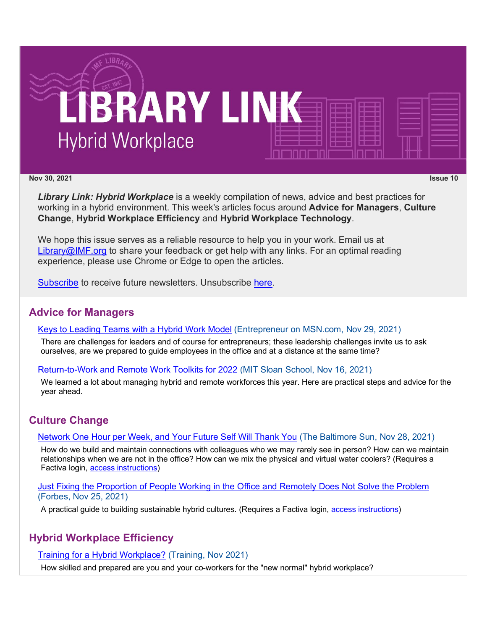

#### **Nov 30, 2021 Issue 10**

*Library Link: Hybrid Workplace* is a weekly compilation of news, advice and best practices for working in a hybrid environment. This week's articles focus around **Advice for Managers**, **Culture Change**, **Hybrid Workplace Efficiency** and **Hybrid Workplace Technology**.

We hope this issue serves as a reliable resource to help you in your work. Email us at [Library@IMF.org](mailto:Library@IMF.org) to share your feedback or get help with any links. For an optimal reading experience, please use Chrome or Edge to open the articles.

[Subscribe](http://t.imfconnect.imf.org/r/?id=h608f01,2f778a6,2f80690&p1=%407__PiIuM6A9JEBigSCP4fT1RzwtNaIfFtq_6cBffmWievXZuLUCnsl_2rZilKYXZlLcUlJU2q9KyhOD-_ha3f5FKM3A) to receive future newsletters. Unsubscribe [here.](http://t.imfconnect.imf.org/r/?id=h608f01,2f778a6,2f80691&p1=%407__PiIuM6A9JEBigSCP4fT1RzwtNaIfFtq_6cBffmWievXZuLUCnsl_2rZilKYXZlLcUlJU2q9KyhOD-_ha3f5FKM3A)

## **Advice for Managers**

#### [Keys to Leading Teams with a Hybrid Work Model](http://t.imfconnect.imf.org/r/?id=h608f01,2f778a6,2f80692) (Entrepreneur on MSN.com, Nov 29, 2021)

There are challenges for leaders and of course for entrepreneurs; these leadership challenges invite us to ask ourselves, are we prepared to guide employees in the office and at a distance at the same time?

### [Return-to-Work and Remote Work Toolkits for 2022](http://t.imfconnect.imf.org/r/?id=h608f01,2f778a6,2f80693) (MIT Sloan School, Nov 16, 2021)

We learned a lot about managing hybrid and remote workforces this year. Here are practical steps and advice for the year ahead.

## **Culture Change**

### [Network One Hour per Week, and Your Future Self Will Thank You](http://t.imfconnect.imf.org/r/?id=h608f01,2f778a6,2f80694) (The Baltimore Sun, Nov 28, 2021)

How do we build and maintain connections with colleagues who we may rarely see in person? How can we maintain relationships when we are not in the office? How can we mix the physical and virtual water coolers? (Requires a Factiva login, [access instructions\)](http://t.imfconnect.imf.org/r/?id=h608f01,2f778a6,2f80695)

#### [Just Fixing the Proportion of People Working in the Office and Remotely Does Not Solve the Problem](http://t.imfconnect.imf.org/r/?id=h608f01,2f778a6,2f80696) (Forbes, Nov 25, 2021)

A practical guide to building sustainable hybrid cultures. (Requires a Factiva login, [access instructions\)](http://t.imfconnect.imf.org/r/?id=h608f01,2f778a6,2f80697)

## **Hybrid Workplace Efficiency**

### [Training for a Hybrid Workplace?](http://t.imfconnect.imf.org/r/?id=h608f01,2f778a6,2f80698) (Training, Nov 2021)

How skilled and prepared are you and your co-workers for the "new normal" hybrid workplace?